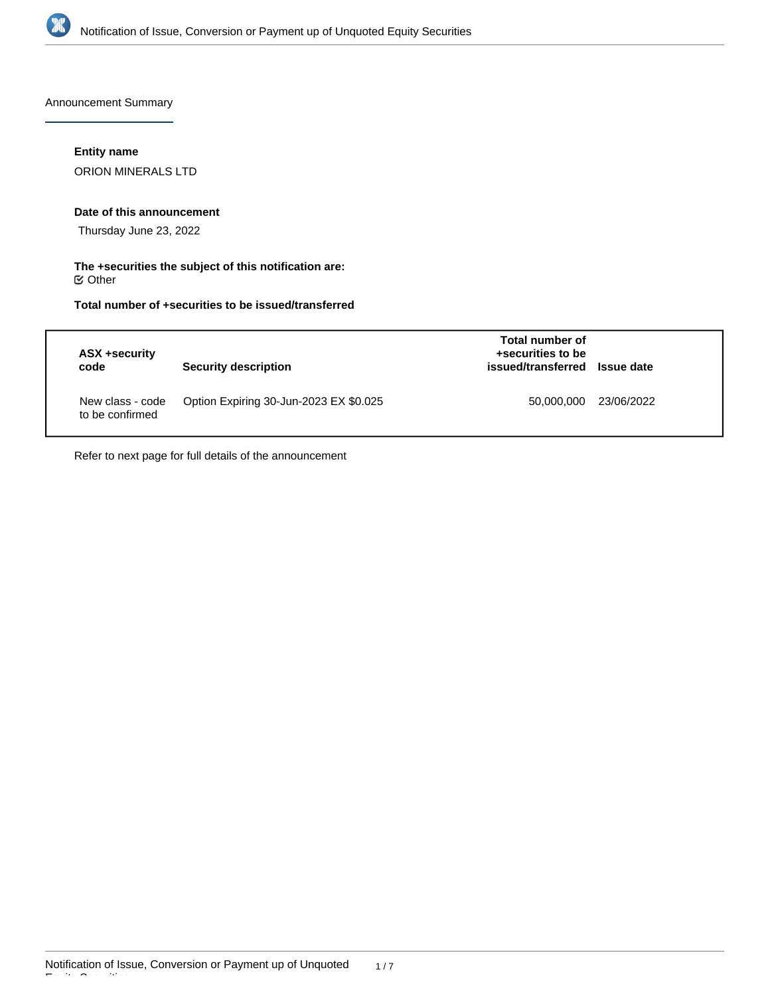

Announcement Summary

## **Entity name**

ORION MINERALS LTD

## **Date of this announcement**

Thursday June 23, 2022

### **The +securities the subject of this notification are:**  $\mathfrak S$  Other

## **Total number of +securities to be issued/transferred**

| ASX +security<br>code               | <b>Security description</b>            | Total number of<br>+securities to be<br>issued/transferred Issue date |            |
|-------------------------------------|----------------------------------------|-----------------------------------------------------------------------|------------|
| New class - code<br>to be confirmed | Option Expiring 30-Jun-2023 EX \$0.025 | 50,000,000                                                            | 23/06/2022 |

Refer to next page for full details of the announcement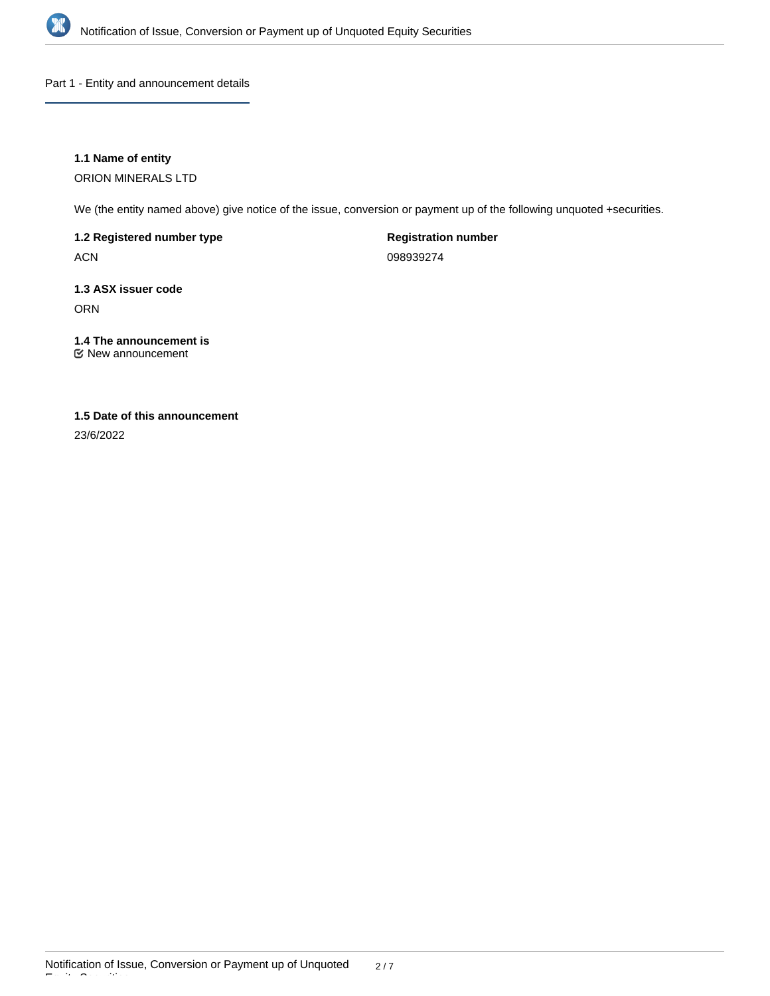

Part 1 - Entity and announcement details

## **1.1 Name of entity**

ORION MINERALS LTD

We (the entity named above) give notice of the issue, conversion or payment up of the following unquoted +securities.

**1.2 Registered number type**

ACN

**Registration number**

098939274

## **1.3 ASX issuer code** ORN

# **1.4 The announcement is**

New announcement

## **1.5 Date of this announcement**

23/6/2022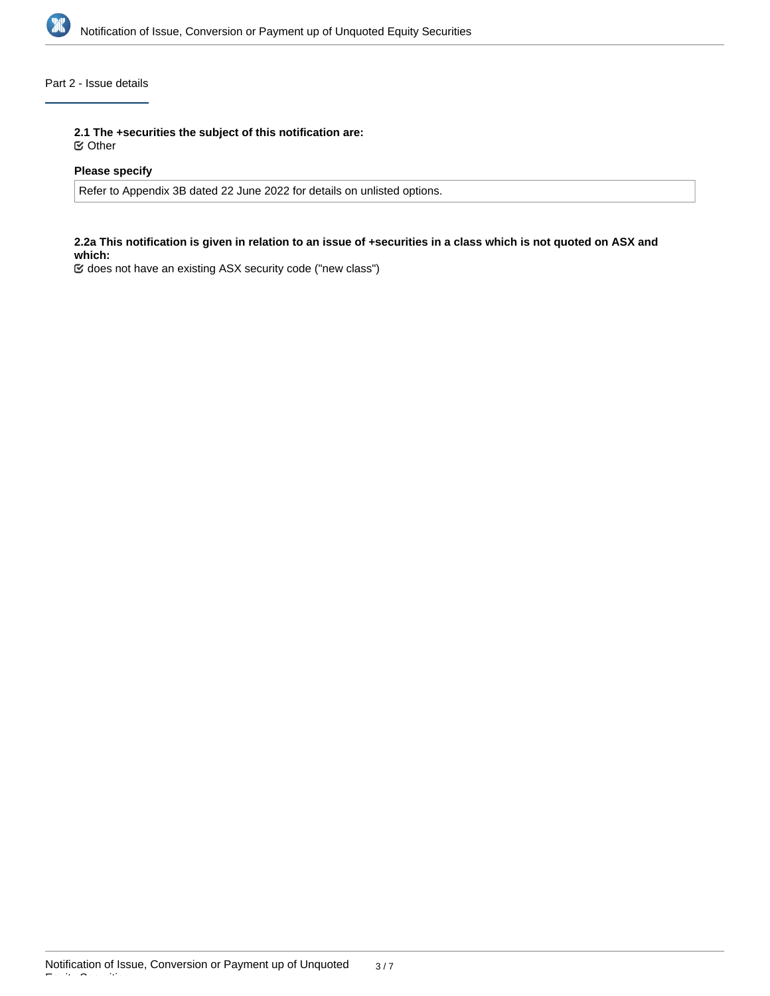

## Part 2 - Issue details

**2.1 The +securities the subject of this notification are:**

Other

## **Please specify**

Refer to Appendix 3B dated 22 June 2022 for details on unlisted options.

#### **2.2a This notification is given in relation to an issue of +securities in a class which is not quoted on ASX and which:**

does not have an existing ASX security code ("new class")

Equity Securities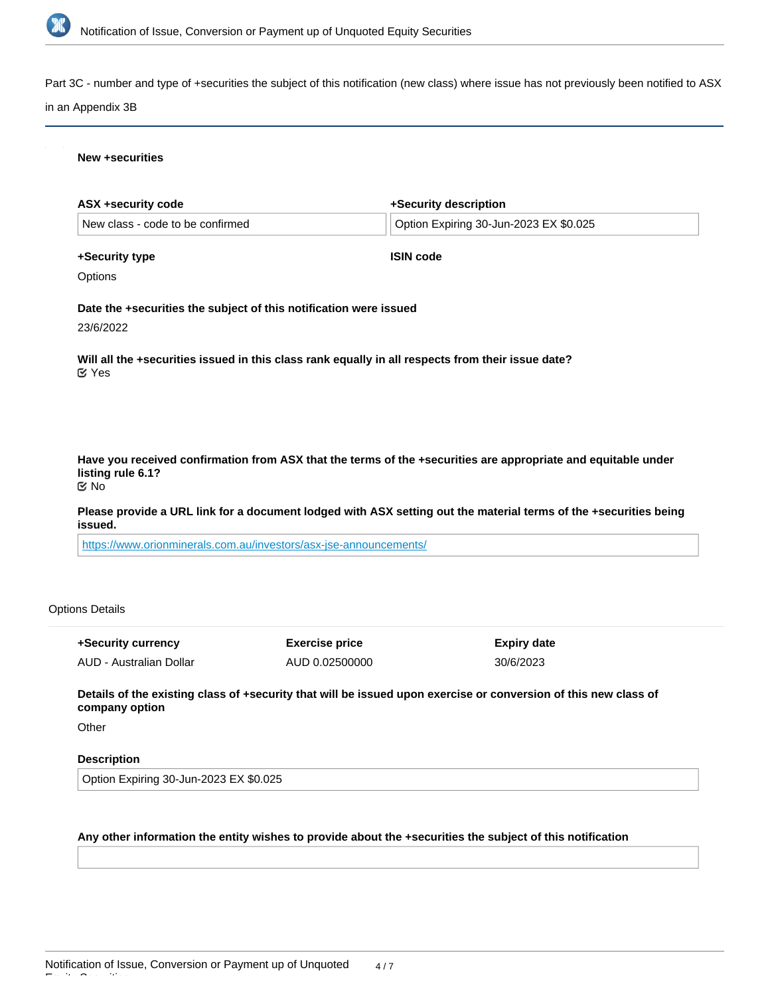

Part 3C - number and type of +securities the subject of this notification (new class) where issue has not previously been notified to ASX

#### in an Appendix 3B

#### **New +securities**

| ASX +security code                                                | +Security description                                                                                            |
|-------------------------------------------------------------------|------------------------------------------------------------------------------------------------------------------|
| New class - code to be confirmed                                  | Option Expiring 30-Jun-2023 EX \$0.025                                                                           |
| +Security type                                                    | <b>ISIN code</b>                                                                                                 |
| Options                                                           |                                                                                                                  |
| Date the +securities the subject of this notification were issued |                                                                                                                  |
| 23/6/2022                                                         |                                                                                                                  |
| $\mathfrak{C}$ Yes                                                | Will all the +securities issued in this class rank equally in all respects from their issue date?                |
| listing rule 6.1?                                                 | Have you received confirmation from ASX that the terms of the +securities are appropriate and equitable under    |
| ত No                                                              |                                                                                                                  |
| issued.                                                           | Please provide a URL link for a document lodged with ASX setting out the material terms of the +securities being |
| https://www.orionminorale.com.ou/invoctors/asy.iso.oppouncomonts/ |                                                                                                                  |

<https://www.orionminerals.com.au/investors/asx-jse-announcements/>

### Options Details

| +Security currency      | <b>Exercise price</b> | Expiry date |
|-------------------------|-----------------------|-------------|
| AUD - Australian Dollar | AUD 0.02500000        | 30/6/2023   |

**Details of the existing class of +security that will be issued upon exercise or conversion of this new class of company option**

**Other** 

Equity Securities

#### **Description**

Option Expiring 30-Jun-2023 EX \$0.025

## **Any other information the entity wishes to provide about the +securities the subject of this notification**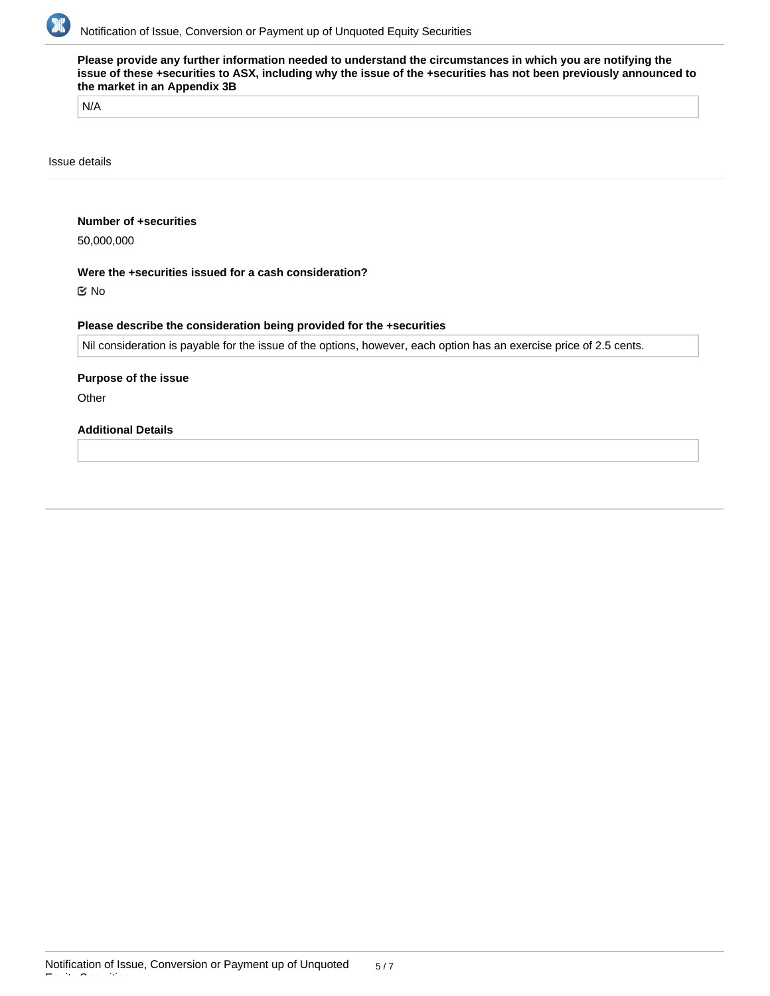

**Please provide any further information needed to understand the circumstances in which you are notifying the issue of these +securities to ASX, including why the issue of the +securities has not been previously announced to the market in an Appendix 3B**

N/A

Issue details

#### **Number of +securities**

50,000,000

#### **Were the +securities issued for a cash consideration?**

No

#### **Please describe the consideration being provided for the +securities**

Nil consideration is payable for the issue of the options, however, each option has an exercise price of 2.5 cents.

#### **Purpose of the issue**

**Other** 

Equity Securities

## **Additional Details**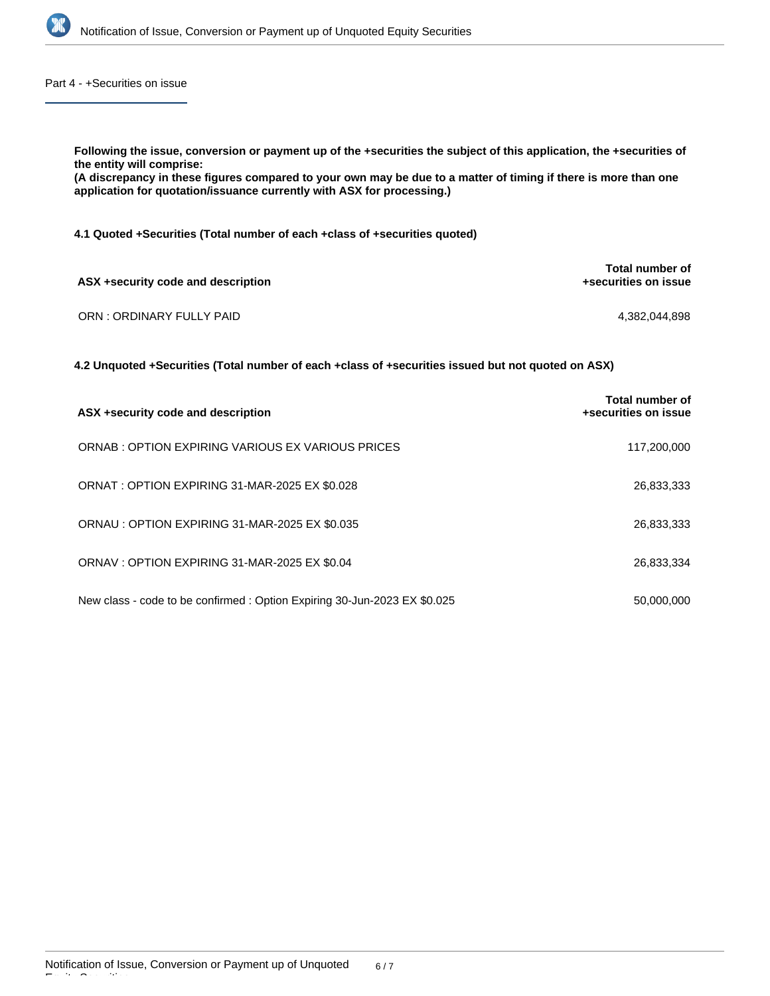

Part 4 - +Securities on issue

| Following the issue, conversion or payment up of the +securities the subject of this application, the +securities of<br>the entity will comprise:<br>(A discrepancy in these figures compared to your own may be due to a matter of timing if there is more than one<br>application for quotation/issuance currently with ASX for processing.) |                                         |  |  |  |
|------------------------------------------------------------------------------------------------------------------------------------------------------------------------------------------------------------------------------------------------------------------------------------------------------------------------------------------------|-----------------------------------------|--|--|--|
| 4.1 Quoted + Securities (Total number of each + class of + securities quoted)                                                                                                                                                                                                                                                                  |                                         |  |  |  |
| ASX +security code and description                                                                                                                                                                                                                                                                                                             | Total number of<br>+securities on issue |  |  |  |
| ORN: ORDINARY FULLY PAID                                                                                                                                                                                                                                                                                                                       | 4.382.044.898                           |  |  |  |
| 4.2 Unquoted +Securities (Total number of each +class of +securities issued but not quoted on ASX)                                                                                                                                                                                                                                             |                                         |  |  |  |
| ASX + security code and description                                                                                                                                                                                                                                                                                                            | Total number of<br>+securities on issue |  |  |  |

| ORNAB: OPTION EXPIRING VARIOUS EX VARIOUS PRICES                          | 117,200,000 |
|---------------------------------------------------------------------------|-------------|
| ORNAT: OPTION EXPIRING 31-MAR-2025 EX \$0.028                             | 26,833,333  |
| ORNAU : OPTION EXPIRING 31-MAR-2025 EX \$0.035                            | 26,833,333  |
| ORNAV: OPTION EXPIRING 31-MAR-2025 EX \$0.04                              | 26,833,334  |
| New class - code to be confirmed : Option Expiring 30-Jun-2023 EX \$0.025 | 50,000,000  |

Equity Securities